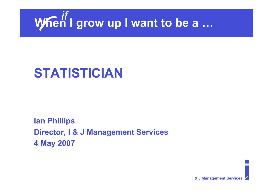

# **STATISTICIAN**

**Ian Phillips Director, I & J Management Services 4 May 2007**

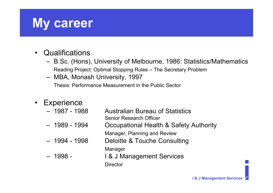## **My career**

- Qualifications
	- B.Sc. (Hons), University of Melbourne, 1986: Statistics/Mathematics Reading Project: Optimal Stopping Rules – The Secretary Problem
	- MBA, Monash University, 1997 Thesis: Performance Measurement in the Public Sector
- **Experience** 
	- 1987 1988 Australian Bureau of Statistics Senior Research Officer
	- 1989 1994 Occupational Health & Safety Authority Manager, Planning and Review
	- 1994 1998 Deloitte & Touche Consulting Manager
	- 1998 I & J Management Services **Director**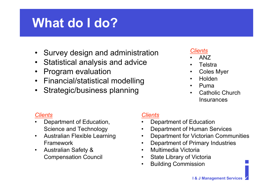# **What do I do?**

- Survey design and administration
- Statistical analysis and advice
- Program evaluation
- Financial/statistical modelling
- Strategic/business planning

#### *Clients*

- ANZ
- Telstra
- Coles Myer
- Holden
- Puma
- Catholic Church **Insurances**

#### *Clients*

- Department of Education, Science and Technology
- Australian Flexible Learning Framework
- Australian Safety & Compensation Council

#### *Clients*

- Department of Education
- Department of Human Services
- Department for Victorian Communities
- Department of Primary Industries
- Multimedia Victoria
- **State Library of Victoria**
- Building Commission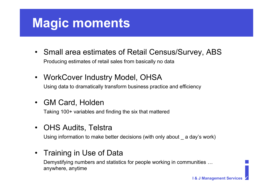# **Magic moments**

- Small area estimates of Retail Census/Survey, ABS Producing estimates of retail sales from basically no data
- WorkCover Industry Model, OHSA Using data to dramatically transform business practice and efficiency

### • GM Card, Holden

Taking 100+ variables and finding the six that mattered

### • OHS Audits, Telstra

Using information to make better decisions (with only about a day's work)

### • Training in Use of Data

Demystifying numbers and statistics for people working in communities … anywhere, anytime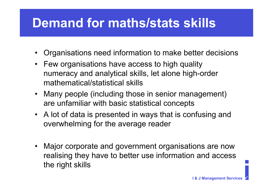## **Demand for maths/stats skills**

- Organisations need information to make better decisions
- Few organisations have access to high quality numeracy and analytical skills, let alone high-order mathematical/statistical skills
- Many people (including those in senior management) are unfamiliar with basic statistical concepts
- A lot of data is presented in ways that is confusing and overwhelming for the average reader
- Major corporate and government organisations are now realising they have to better use information and access the right skills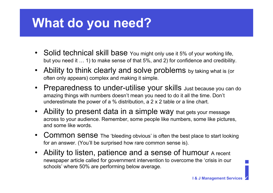## **What do you need?**

- Solid technical skill base You might only use it 5% of your working life, but you need it … 1) to make sense of that 5%, and 2) for confidence and credibility.
- Ability to think clearly and solve problems by taking what is (or often only appears) complex and making it simple.
- Preparedness to under-utilise your skills Just because you can do amazing things with numbers doesn't mean you need to do it all the time. Don't underestimate the power of a % distribution, a 2 x 2 table or a line chart.
- Ability to present data in a simple way that gets your message across to your audience. Remember, some people like numbers, some like pictures, and some like words.
- Common sense The 'bleeding obvious' is often the best place to start looking for an answer. (You'll be surprised how rare common sense is).
- Ability to listen, patience and a sense of humour A recent newspaper article called for government intervention to overcome the 'crisis in our schools' where 50% are performing below average.